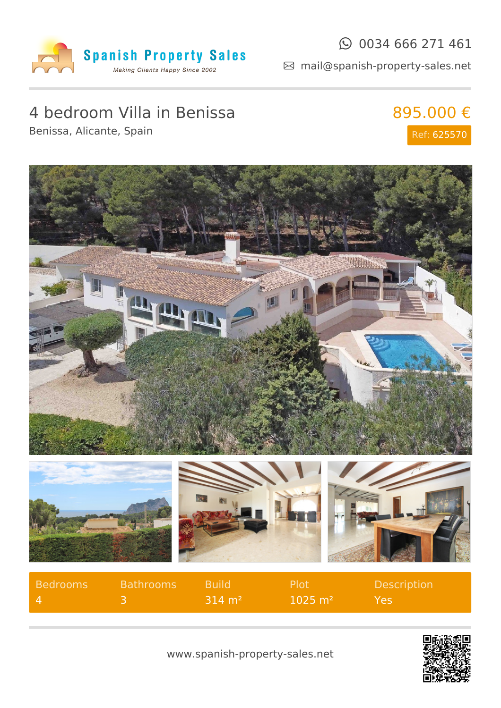

### $\odot$  0034 666 271 461

mail@spanish-property-sales.net

# 4 bedroom Villa in Benissa

895.000 € Ref: 625570

Benissa, Alicante, Spain









| Bedrooms       | <b>Bathrooms</b> | <b>Build</b>           | Plot <sup>1</sup>      | <b>Description</b> |
|----------------|------------------|------------------------|------------------------|--------------------|
| $\blacksquare$ |                  | $-314 \; \mathrm{m}^2$ | $1025 \; \mathrm{m}^2$ | Yes                |



www.spanish-property-sales.net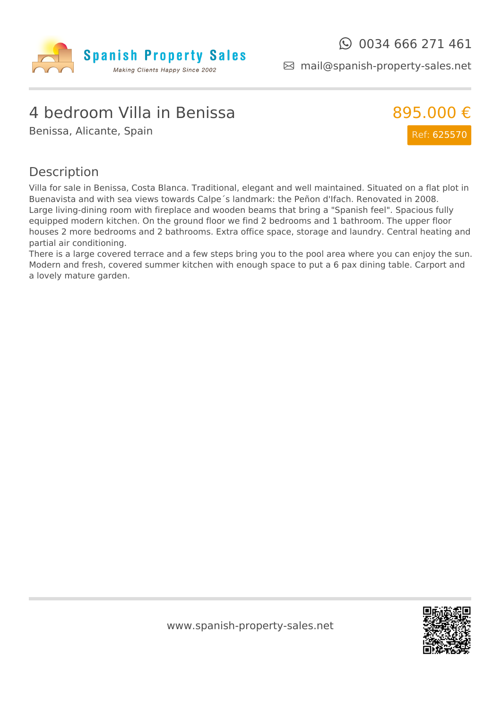

mail@spanish-property-sales.net

## 4 bedroom Villa in Benissa

Benissa, Alicante, Spain



#### Description

Villa for sale in Benissa, Costa Blanca. Traditional, elegant and well maintained. Situated on a flat plot in Buenavista and with sea views towards Calpe´s landmark: the Peñon d'Ifach. Renovated in 2008. Large living-dining room with fireplace and wooden beams that bring a "Spanish feel". Spacious fully equipped modern kitchen. On the ground floor we find 2 bedrooms and 1 bathroom. The upper floor houses 2 more bedrooms and 2 bathrooms. Extra office space, storage and laundry. Central heating and partial air conditioning.

There is a large covered terrace and a few steps bring you to the pool area where you can enjoy the sun. Modern and fresh, covered summer kitchen with enough space to put a 6 pax dining table. Carport and a lovely mature garden.